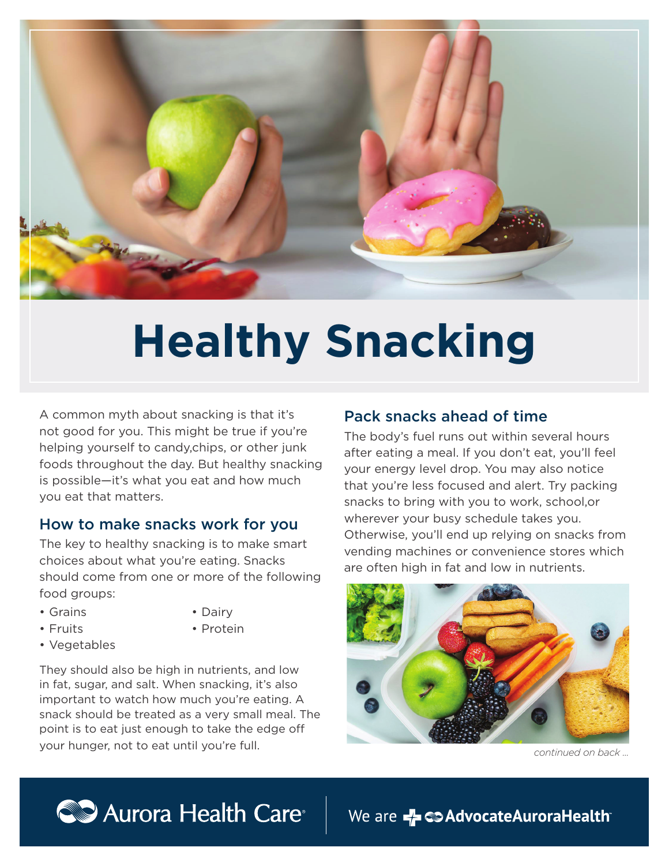

# **Healthy Snacking**

A common myth about snacking is that it's not good for you. This might be true if you're helping yourself to candy,chips, or other junk foods throughout the day. But healthy snacking is possible—it's what you eat and how much you eat that matters.

#### How to make snacks work for you

The key to healthy snacking is to make smart choices about what you're eating. Snacks should come from one or more of the following food groups:

• Grains

- Dairy
- Fruits
- Protein
- Vegetables

They should also be high in nutrients, and low in fat, sugar, and salt. When snacking, it's also important to watch how much you're eating. A snack should be treated as a very small meal. The point is to eat just enough to take the edge off your hunger, not to eat until you're full.

## Pack snacks ahead of time

The body's fuel runs out within several hours after eating a meal. If you don't eat, you'll feel your energy level drop. You may also notice that you're less focused and alert. Try packing snacks to bring with you to work, school,or wherever your busy schedule takes you. Otherwise, you'll end up relying on snacks from vending machines or convenience stores which are often high in fat and low in nutrients.



*continued on back ...*



We are Z C > Advocate Aurora Health